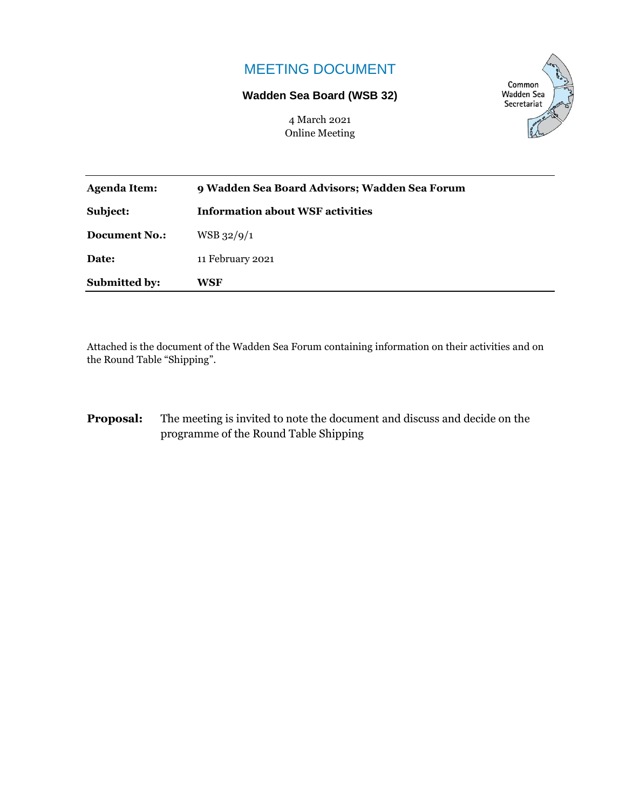# MEETING DOCUMENT

#### **Wadden Sea Board (WSB 32)**

4 March 2021 Online Meeting



| <b>Submitted by:</b> | WSF                                           |
|----------------------|-----------------------------------------------|
| Date:                | 11 February 2021                              |
| <b>Document No.:</b> | $WSB$ 32/9/1                                  |
| Subject:             | <b>Information about WSF activities</b>       |
| Agenda Item:         | 9 Wadden Sea Board Advisors; Wadden Sea Forum |

Attached is the document of the Wadden Sea Forum containing information on their activities and on the Round Table "Shipping".

**Proposal:** The meeting is invited to note the document and discuss and decide on the programme of the Round Table Shipping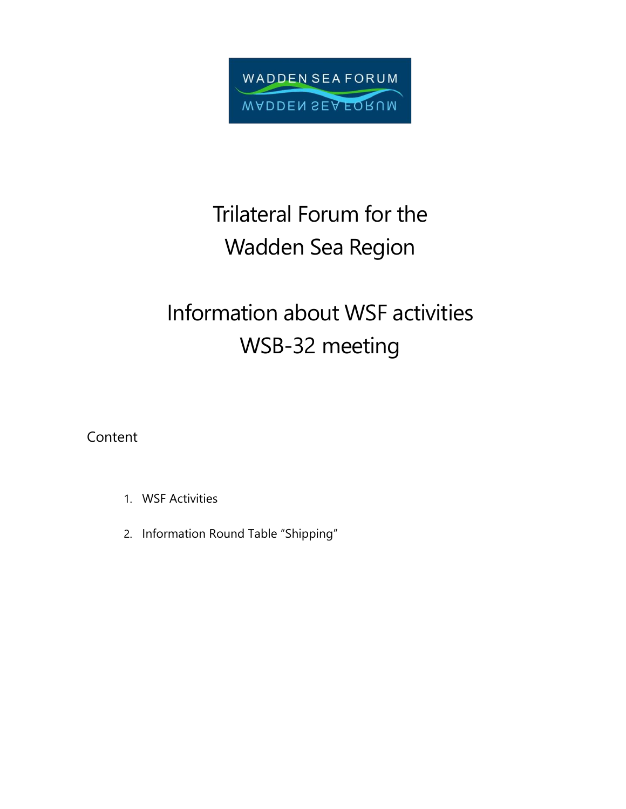

# Trilateral Forum for the Wadden Sea Region

# Information about WSF activities WSB-32 meeting

Content

- 1. WSF Activities
- 2. Information Round Table "Shipping"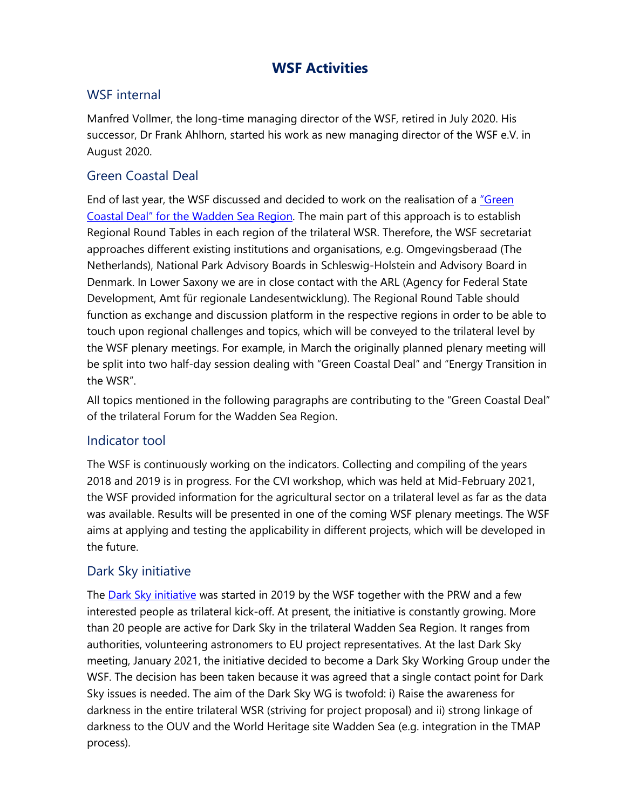# **WSF Activities**

### WSF internal

Manfred Vollmer, the long-time managing director of the WSF, retired in July 2020. His successor, Dr Frank Ahlhorn, started his work as new managing director of the WSF e.V. in August 2020.

### Green Coastal Deal

End of last year, the WSF discussed and decided to work on the realisation of a "Green [Coastal Deal" for the Wadden Sea Region](https://www.waddensea-forum.org/topics/core-issues/green-coastal-deal). The main part of this approach is to establish Regional Round Tables in each region of the trilateral WSR. Therefore, the WSF secretariat approaches different existing institutions and organisations, e.g. Omgevingsberaad (The Netherlands), National Park Advisory Boards in Schleswig-Holstein and Advisory Board in Denmark. In Lower Saxony we are in close contact with the ARL (Agency for Federal State Development, Amt für regionale Landesentwicklung). The Regional Round Table should function as exchange and discussion platform in the respective regions in order to be able to touch upon regional challenges and topics, which will be conveyed to the trilateral level by the WSF plenary meetings. For example, in March the originally planned plenary meeting will be split into two half-day session dealing with "Green Coastal Deal" and "Energy Transition in the WSR".

All topics mentioned in the following paragraphs are contributing to the "Green Coastal Deal" of the trilateral Forum for the Wadden Sea Region.

#### Indicator tool

The WSF is continuously working on the indicators. Collecting and compiling of the years 2018 and 2019 is in progress. For the CVI workshop, which was held at Mid-February 2021, the WSF provided information for the agricultural sector on a trilateral level as far as the data was available. Results will be presented in one of the coming WSF plenary meetings. The WSF aims at applying and testing the applicability in different projects, which will be developed in the future.

#### Dark Sky initiative

The **Dark Sky initiative** was started in 2019 by the WSF together with the PRW and a few interested people as trilateral kick-off. At present, the initiative is constantly growing. More than 20 people are active for Dark Sky in the trilateral Wadden Sea Region. It ranges from authorities, volunteering astronomers to EU project representatives. At the last Dark Sky meeting, January 2021, the initiative decided to become a Dark Sky Working Group under the WSF. The decision has been taken because it was agreed that a single contact point for Dark Sky issues is needed. The aim of the Dark Sky WG is twofold: i) Raise the awareness for darkness in the entire trilateral WSR (striving for project proposal) and ii) strong linkage of darkness to the OUV and the World Heritage site Wadden Sea (e.g. integration in the TMAP process).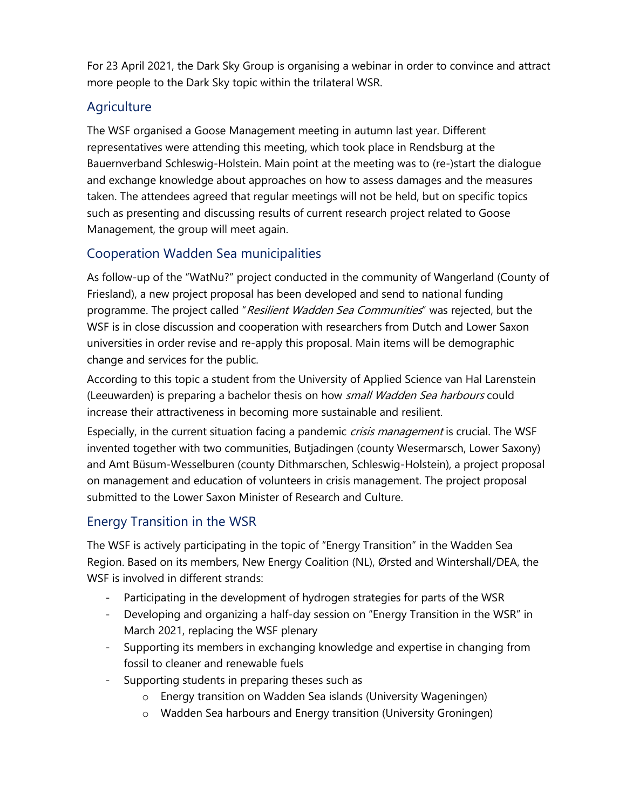For 23 April 2021, the Dark Sky Group is organising a webinar in order to convince and attract more people to the Dark Sky topic within the trilateral WSR.

# **Agriculture**

The WSF organised a Goose Management meeting in autumn last year. Different representatives were attending this meeting, which took place in Rendsburg at the Bauernverband Schleswig-Holstein. Main point at the meeting was to (re-)start the dialogue and exchange knowledge about approaches on how to assess damages and the measures taken. The attendees agreed that regular meetings will not be held, but on specific topics such as presenting and discussing results of current research project related to Goose Management, the group will meet again.

# Cooperation Wadden Sea municipalities

As follow-up of the "WatNu?" project conducted in the community of Wangerland (County of Friesland), a new project proposal has been developed and send to national funding programme. The project called "Resilient Wadden Sea Communities" was rejected, but the WSF is in close discussion and cooperation with researchers from Dutch and Lower Saxon universities in order revise and re-apply this proposal. Main items will be demographic change and services for the public.

According to this topic a student from the University of Applied Science van Hal Larenstein (Leeuwarden) is preparing a bachelor thesis on how small Wadden Sea harbours could increase their attractiveness in becoming more sustainable and resilient.

Especially, in the current situation facing a pandemic crisis management is crucial. The WSF invented together with two communities, Butjadingen (county Wesermarsch, Lower Saxony) and Amt Büsum-Wesselburen (county Dithmarschen, Schleswig-Holstein), a project proposal on management and education of volunteers in crisis management. The project proposal submitted to the Lower Saxon Minister of Research and Culture.

# Energy Transition in the WSR

The WSF is actively participating in the topic of "Energy Transition" in the Wadden Sea Region. Based on its members, New Energy Coalition (NL), Ørsted and Wintershall/DEA, the WSF is involved in different strands:

- Participating in the development of hydrogen strategies for parts of the WSR
- Developing and organizing a half-day session on "Energy Transition in the WSR" in March 2021, replacing the WSF plenary
- Supporting its members in exchanging knowledge and expertise in changing from fossil to cleaner and renewable fuels
- Supporting students in preparing theses such as
	- o Energy transition on Wadden Sea islands (University Wageningen)
	- o Wadden Sea harbours and Energy transition (University Groningen)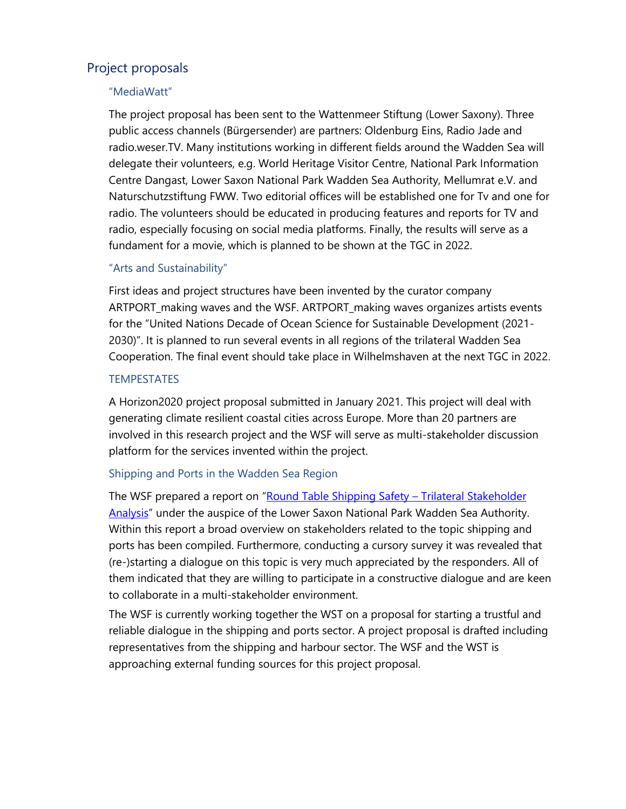#### Project proposals

#### "MediaWatt"

The project proposal has been sent to the Wattenmeer Stiftung (Lower Saxony). Three public access channels (Bürgersender) are partners: Oldenburg Eins, Radio Jade and radio.weser.TV. Many institutions working in different fields around the Wadden Sea will delegate their volunteers, e.g. World Heritage Visitor Centre, National Park Information Centre Dangast, Lower Saxon National Park Wadden Sea Authority, Mellumrat e.V. and Naturschutzstiftung FWW. Two editorial offices will be established one for Tv and one for radio. The volunteers should be educated in producing features and reports for TV and radio, especially focusing on social media platforms. Finally, the results will serve as a fundament for a movie, which is planned to be shown at the TGC in 2022.

#### "Arts and Sustainability"

First ideas and project structures have been invented by the curator company ARTPORT\_making waves and the WSF. ARTPORT\_making waves organizes artists events for the "United Nations Decade of Ocean Science for Sustainable Development (2021- 2030)". It is planned to run several events in all regions of the trilateral Wadden Sea Cooperation. The final event should take place in Wilhelmshaven at the next TGC in 2022.

#### **TEMPESTATES**

A Horizon2020 project proposal submitted in January 2021. This project will deal with generating climate resilient coastal cities across Europe. More than 20 partners are involved in this research project and the WSF will serve as multi-stakeholder discussion platform for the services invented within the project.

#### Shipping and Ports in the Wadden Sea Region

The WSF prepared a report on "[Round Table Shipping Safety](https://www.waddensea-forum.org/topics/core-issues/shipping) – Trilateral Stakeholder [Analysis](https://www.waddensea-forum.org/topics/core-issues/shipping)" under the auspice of the Lower Saxon National Park Wadden Sea Authority. Within this report a broad overview on stakeholders related to the topic shipping and ports has been compiled. Furthermore, conducting a cursory survey it was revealed that (re-)starting a dialogue on this topic is very much appreciated by the responders. All of them indicated that they are willing to participate in a constructive dialogue and are keen to collaborate in a multi-stakeholder environment.

The WSF is currently working together the WST on a proposal for starting a trustful and reliable dialogue in the shipping and ports sector. A project proposal is drafted including representatives from the shipping and harbour sector. The WSF and the WST is approaching external funding sources for this project proposal.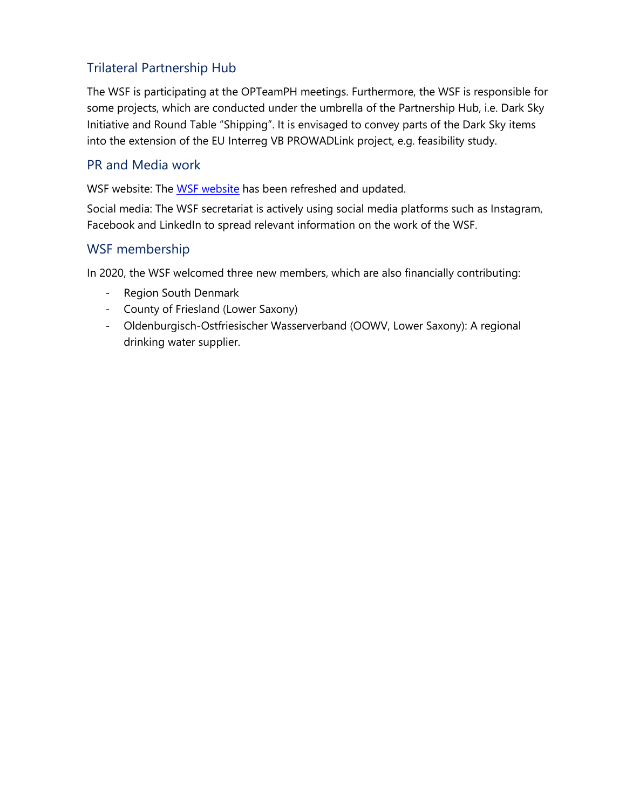## Trilateral Partnership Hub

The WSF is participating at the OPTeamPH meetings. Furthermore, the WSF is responsible for some projects, which are conducted under the umbrella of the Partnership Hub, i.e. Dark Sky Initiative and Round Table "Shipping". It is envisaged to convey parts of the Dark Sky items into the extension of the EU Interreg VB PROWADLink project, e.g. feasibility study.

#### PR and Media work

WSF website: The [WSF website](https://www.waddensea-forum.org/) has been refreshed and updated.

Social media: The WSF secretariat is actively using social media platforms such as Instagram, Facebook and LinkedIn to spread relevant information on the work of the WSF.

#### WSF membership

In 2020, the WSF welcomed three new members, which are also financially contributing:

- Region South Denmark
- County of Friesland (Lower Saxony)
- Oldenburgisch-Ostfriesischer Wasserverband (OOWV, Lower Saxony): A regional drinking water supplier.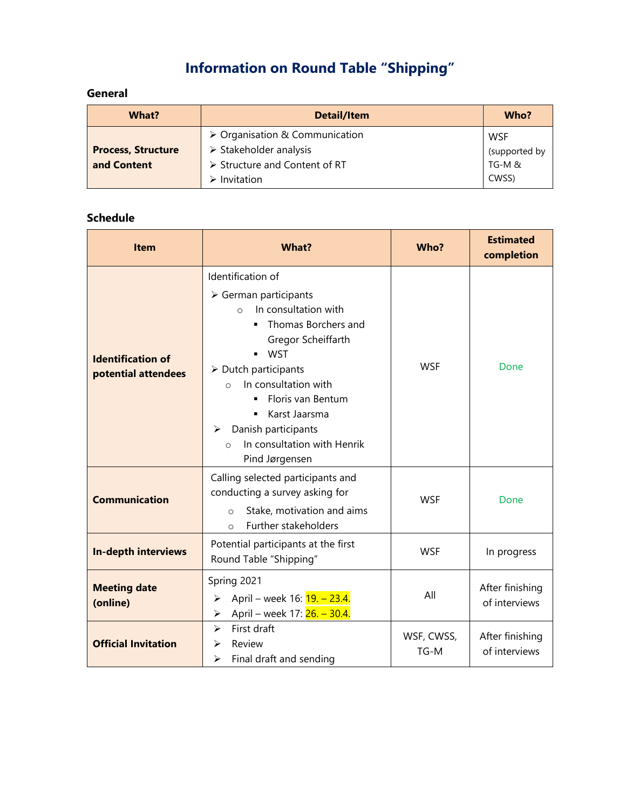# **Information on Round Table "Shipping"**

# **General**

| What?                     | <b>Detail/Item</b>                            | Who?          |
|---------------------------|-----------------------------------------------|---------------|
|                           | $\triangleright$ Organisation & Communication | <b>WSF</b>    |
| <b>Process, Structure</b> | $\triangleright$ Stakeholder analysis         | (supported by |
| and Content               | > Structure and Content of RT                 | TG-M &        |
|                           | Invitation                                    | CWSS)         |

#### **Schedule**

| <b>Item</b>                                     | What?                                                                                                                                                                                                                                                                                                                                                             | Who?                 | <b>Estimated</b><br>completion   |
|-------------------------------------------------|-------------------------------------------------------------------------------------------------------------------------------------------------------------------------------------------------------------------------------------------------------------------------------------------------------------------------------------------------------------------|----------------------|----------------------------------|
| <b>Identification of</b><br>potential attendees | Identification of<br>$\triangleright$ German participants<br>In consultation with<br>$\Omega$<br>Thomas Borchers and<br>Gregor Scheiffarth<br><b>WST</b><br>$\triangleright$ Dutch participants<br>In consultation with<br>$\Omega$<br>Floris van Bentum<br>Karst Jaarsma<br>Danish participants<br>➤<br>In consultation with Henrik<br>$\circ$<br>Pind Jørgensen | <b>WSF</b>           | Done                             |
| <b>Communication</b>                            | Calling selected participants and<br>conducting a survey asking for<br>Stake, motivation and aims<br>$\circ$<br>Further stakeholders<br>$\Omega$                                                                                                                                                                                                                  | <b>WSF</b>           | Done                             |
| <b>In-depth interviews</b>                      | Potential participants at the first<br>Round Table "Shipping"                                                                                                                                                                                                                                                                                                     | <b>WSF</b>           | In progress                      |
| <b>Meeting date</b><br>(online)                 | Spring 2021<br>April – week 16: <b>19. – 23.4.</b><br>➤<br>April – week 17: 26. – 30.4.<br>⋗                                                                                                                                                                                                                                                                      | All                  | After finishing<br>of interviews |
| <b>Official Invitation</b>                      | First draft<br>$\blacktriangleright$<br>Review<br>⋗<br>Final draft and sending<br>⋗                                                                                                                                                                                                                                                                               | WSF, CWSS,<br>$TG-M$ | After finishing<br>of interviews |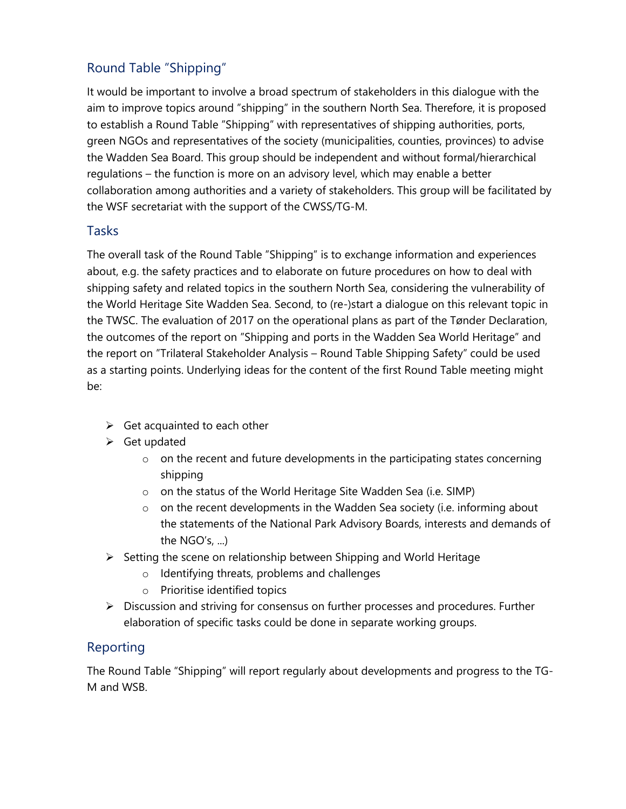# Round Table "Shipping"

It would be important to involve a broad spectrum of stakeholders in this dialogue with the aim to improve topics around "shipping" in the southern North Sea. Therefore, it is proposed to establish a Round Table "Shipping" with representatives of shipping authorities, ports, green NGOs and representatives of the society (municipalities, counties, provinces) to advise the Wadden Sea Board. This group should be independent and without formal/hierarchical regulations – the function is more on an advisory level, which may enable a better collaboration among authorities and a variety of stakeholders. This group will be facilitated by the WSF secretariat with the support of the CWSS/TG-M.

#### Tasks

The overall task of the Round Table "Shipping" is to exchange information and experiences about, e.g. the safety practices and to elaborate on future procedures on how to deal with shipping safety and related topics in the southern North Sea, considering the vulnerability of the World Heritage Site Wadden Sea. Second, to (re-)start a dialogue on this relevant topic in the TWSC. The evaluation of 2017 on the operational plans as part of the Tønder Declaration, the outcomes of the report on "Shipping and ports in the Wadden Sea World Heritage" and the report on "Trilateral Stakeholder Analysis – Round Table Shipping Safety" could be used as a starting points. Underlying ideas for the content of the first Round Table meeting might be:

- $\triangleright$  Get acquainted to each other
- ➢ Get updated
	- o on the recent and future developments in the participating states concerning shipping
	- o on the status of the World Heritage Site Wadden Sea (i.e. SIMP)
	- $\circ$  on the recent developments in the Wadden Sea society (i.e. informing about the statements of the National Park Advisory Boards, interests and demands of the  $NGO's$ , ...)
- ➢ Setting the scene on relationship between Shipping and World Heritage
	- o Identifying threats, problems and challenges
	- o Prioritise identified topics
- ➢ Discussion and striving for consensus on further processes and procedures. Further elaboration of specific tasks could be done in separate working groups.

#### Reporting

The Round Table "Shipping" will report regularly about developments and progress to the TG-M and WSB.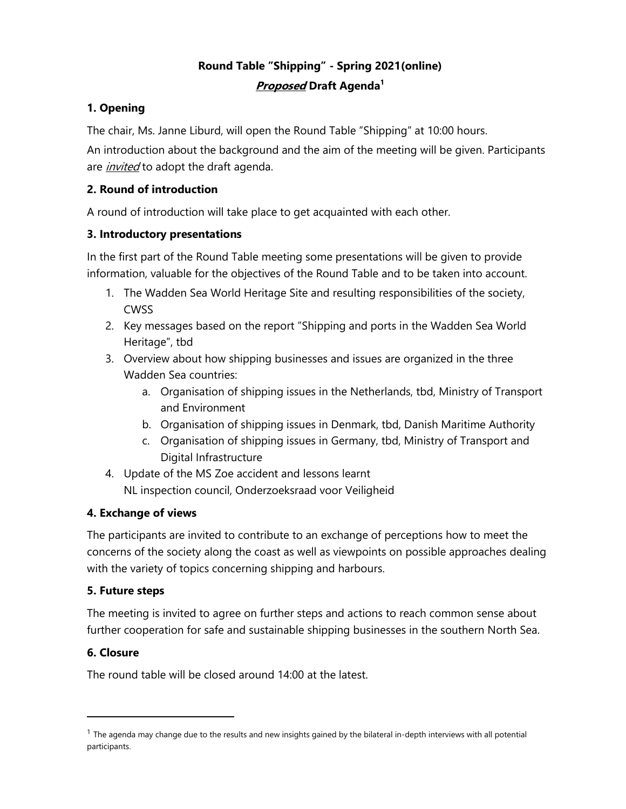# **Round Table "Shipping" - Spring 2021(online) Proposed Draft Agenda<sup>1</sup>**

#### **1. Opening**

The chair, Ms. Janne Liburd, will open the Round Table "Shipping" at 10:00 hours.

An introduction about the background and the aim of the meeting will be given. Participants are *invited* to adopt the draft agenda.

#### **2. Round of introduction**

A round of introduction will take place to get acquainted with each other.

#### **3. Introductory presentations**

In the first part of the Round Table meeting some presentations will be given to provide information, valuable for the objectives of the Round Table and to be taken into account.

- 1. The Wadden Sea World Heritage Site and resulting responsibilities of the society, CWSS
- 2. Key messages based on the report "Shipping and ports in the Wadden Sea World Heritage", tbd
- 3. Overview about how shipping businesses and issues are organized in the three Wadden Sea countries:
	- a. Organisation of shipping issues in the Netherlands, tbd, Ministry of Transport and Environment
	- b. Organisation of shipping issues in Denmark, tbd, Danish Maritime Authority
	- c. Organisation of shipping issues in Germany, tbd, Ministry of Transport and Digital Infrastructure
- 4. Update of the MS Zoe accident and lessons learnt NL inspection council, [Onderzoeksraad voor Veiligheid](https://de.wikipedia.org/wiki/Onderzoeksraad_voor_Veiligheid)

#### **4. Exchange of views**

The participants are invited to contribute to an exchange of perceptions how to meet the concerns of the society along the coast as well as viewpoints on possible approaches dealing with the variety of topics concerning shipping and harbours.

#### **5. Future steps**

The meeting is invited to agree on further steps and actions to reach common sense about further cooperation for safe and sustainable shipping businesses in the southern North Sea.

#### **6. Closure**

The round table will be closed around 14:00 at the latest.

 $<sup>1</sup>$  The agenda may change due to the results and new insights gained by the bilateral in-depth interviews with all potential</sup> participants.